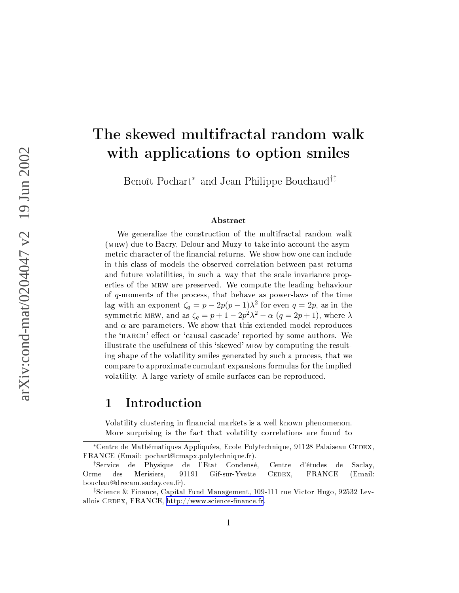# - - - 
"!  $\blacksquare$  . The state of the state of the state of the state of the state of the state of the state of the state of the state of the state of the state of the state of the state of the state of the state of the state of the

Benoît Pochart\* and Jean-Philippe Bouchaud™

# Abstract

We generalize the construction of the multifractal random walk  $/$ uX+ vm $Z$ sakkm $/$ bi $Z$ sakkm $\lambda$ i $\lambda$ iskam $\lambda$ iskam $\lambda$ iskam $\lambda$ iskamatikamatikamatikamatikamatikamatikamatikamatikamatikamatikamatikamatikamatikamatikamatikamatikamatikamatikamatikamatikamatikamatikamatikamatikamatikam metric character of the financial returns. We show how one can include in this class of models the observed correlation between past returns and future volatilities, in such a way that the scale invariance properties of the MRW are preserved. We compute the leading behaviour of  $q$ -moments of the process, that behave as power-laws of the time lag with an exponent  $\zeta_q = p - 2p(p - 1)\lambda^2$  for even  $q = 2p$ , as in the symmetric MRW, and as  $\zeta_q = p + 1 - 2p^2\lambda^2 - \alpha \ (q = 2p + 1),$  where  $\lambda$ and  $\alpha$  are parameters. We show that this extended model reproduces the 'HARCH' effect or 'causal cascade' reported by some authors. We illustrate the usefulness of this 'skewed' MRW by computing the resulting shape of the volatility smiles generated by such a process, that we compare to approximate cumulant expansions formulas for the implied volatility. A large variety of smile surfaces can be reproduced.

# 1 Introduction

Volatility clustering in financial markets is a well known phenomenon. More surprising is the fact that volatility correlations are found to

<sup>\*</sup>Centre de Mathématiques Appliquées, Ecole Polytechnique, 91128 Palaiseau CEDEX, FRANCE (Email: pochart@cmapx.polytechnique.fr).

<sup>†</sup> Service de Physique de l'Etat Condensé, Centre d'études de Saclay, Orme des Merisiers, 91191 Gif-sur-Yvette CEDEX, FRANCE (Email: kouchau@drocam\_saclay\_coa\_fr)

<sup>‡</sup> ãbÌ`Âd·`¸8Ìh·uî <sup>Ø</sup> Âd¸w½S¸KÌ`·UÊw¶6½¾È8Âd¹½¾É <sup>Ø</sup> Ä8¸K»¼½S¸w½¾ïU·`Á#·`¸b¹tÊÑtðUÐñéÑ=ÑUÑAº2Ä8·.òAÂÌh¹2ÍUºAóÄ8ï=ÍwÊ8Ð=ÒUôUõ=Òuö÷·`ä=é allois CEDEX, FRANCE, http://www.science-finance.fr.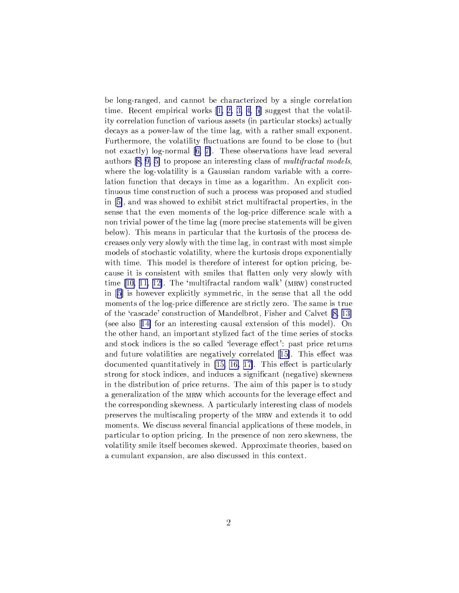be long-ranged, and cannot be characterized by a single correlation time. Recent empirical works  $[1, 2, 3, 4, 5]$  suggest that the volatility correlation function of various assets (in particular stocks) actually decays as a power-law of the time lag, with a rather small exponent. Furthermore, the volatility fluctuations are found to be close to (but) not exactly) log-normal  $[6, 7]$ . These observations have lead several authors [8, 9, 5] to propose an interesting class of *multifractal models*, where the log-volatility is a Gaussian random variable with a correlation function that decays in time as a logarithm. An explicit continuous time construction of such a process was proposed and studied in [5], and was showed to exhibit strict multifractal properties, in the sense that the even moments of the log-price difference scale with a non trivial power of the time lag (more precise statements will be given below). This means in particular that the kurtosis of the process decreases only very slowly with the time lag, in contrast with most simple models of stochastic volatility, where the kurtosis drops exponentially with time. This model is therefore of interest for option pricing, because it is consistent with smiles that flatten only very slowly with time  $[10, 11, 12]$ . The 'multifractal random walk' (MRW) constructed in [5] is however explicitly symmetric, in the sense that all the odd moments of the log-price difference are strictly zero. The same is true of the 'cascade' construction of Mandelbrot, Fisher and Calvet [8, 13] (see also [14] for an interesting causal extension of this model). On the other hand, an important stylized fact of the time series of stocks and stock indices is the so called 'leverage effect': past price returns and future volatilities are negatively correlated [15]. This effect was documented quantitatively in  $[15, 16, 17]$ . This effect is particularly strong for stock indices, and induces a significant (negative) skewness in the distribution of price returns. The aim of this paper is to study a generalization of the MRW which accounts for the leverage effect and the corresponding skewness. A particularly interesting class of models preserves the multiscaling property of the MRW and extends it to odd moments. We discuss several financial applications of these models, in particular to option pricing. In the presence of non zero skewness, the volatility smile itself becomes skewed. Approximate theories, based on a cumulant expansion, are also discussed in this context.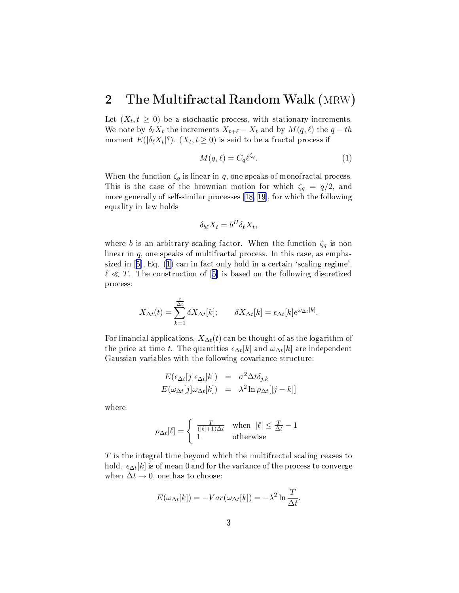## The Multifractal Random Walk (MRW)  $\overline{2}$

Let  $(X_t, t \geq 0)$  be a stochastic process, with stationary increments. We note by  $\delta_{\ell}X_t$  the increments  $X_{t+\ell}-X_t$  and by  $M(q,\ell)$  the  $q-th$ moment  $E(|\delta_{\ell}X_t|^q)$ .  $(X_t, t \geq 0)$  is said to be a fractal process if

$$
M(q,\ell) = C_q \ell^{\zeta_q}.\tag{1}
$$

When the function  $\zeta_q$  is linear in q, one speaks of monofractal process. This is the case of the brownian motion for which  $\zeta_q = q/2$ , and more generally of self-similar processes [18, 19], for which the following equality in law holds

$$
\delta_{b\ell} X_t = b^H \delta_{\ell} X_t,
$$

where b is an arbitrary scaling factor. When the function  $\zeta_q$  is non linear in  $q$ , one speaks of multifractal process. In this case, as emphasized in [5], Eq. (1) can in fact only hold in a certain 'scaling regime',  $\ell \ll T$ . The construction of [5] is based on the following discretized process:

$$
X_{\Delta t}(t) = \sum_{k=1}^{\frac{t}{\Delta t}} \delta X_{\Delta t}[k]; \qquad \delta X_{\Delta t}[k] = \epsilon_{\Delta t}[k] e^{\omega_{\Delta t}[k]}.
$$

For financial applications,  $X_{\Delta t}(t)$  can be thought of as the logarithm of the price at time t. The quantities  $\epsilon_{\Delta t}[k]$  and  $\omega_{\Delta t}[k]$  are independent Gaussian variables with the following covariance structure:

$$
E(\epsilon_{\Delta t}[j] \epsilon_{\Delta t}[k]) = \sigma^2 \Delta t \delta_{j,k}
$$
  

$$
E(\omega_{\Delta t}[j] \omega_{\Delta t}[k]) = \lambda^2 \ln \rho_{\Delta t}[|j-k|]
$$

where

$$
\rho_{\Delta t}[\ell] = \begin{cases} \frac{T}{(|\ell|+1)\Delta t} & \text{when } |\ell| \le \frac{T}{\Delta t} - 1\\ 1 & \text{otherwise} \end{cases}
$$

 $T$  is the integral time beyond which the multifractal scaling ceases to hold.  $\epsilon_{\Delta t}[k]$  is of mean 0 and for the variance of the process to converge when  $\Delta t \rightarrow 0$ , one has to choose:

$$
E(\omega_{\Delta t}[k]) = -Var(\omega_{\Delta t}[k]) = -\lambda^2 \ln \frac{T}{\Delta t}.
$$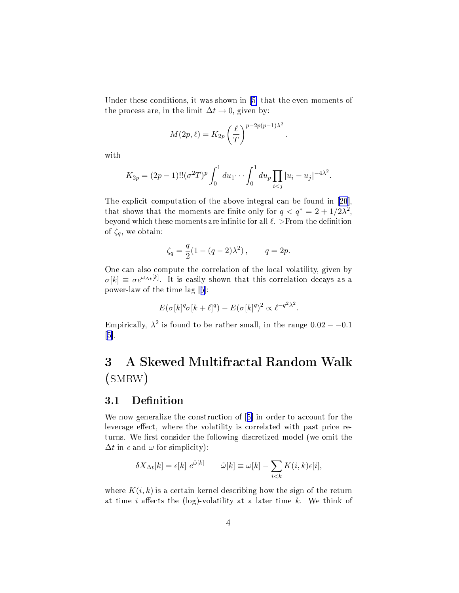Under these conditions, it was shown in  $[5]$  that the even moments of the process are, in the limit  $\Delta t \rightarrow 0$ , given by:

$$
M(2p, \ell) = K_{2p} \left(\frac{\ell}{T}\right)^{p-2p(p-1)\lambda^2}
$$

with

$$
K_{2p} = (2p-1)!!(\sigma^2 T)^p \int_0^1 du_1 \cdots \int_0^1 du_p \prod_{i < j} |u_i - u_j|^{-4\lambda^2}.
$$

The explicit computation of the above integral can be found in [20], that shows that the moments are finite only for  $q < q^* = 2 + 1/2\lambda^2$ , beyond which these moments are infinite for all  $\ell$ . > From the definition of  $\zeta_q$ , we obtain:

$$
\zeta_q = \frac{q}{2}(1 - (q-2)\lambda^2), \qquad q = 2p.
$$

One can also compute the correlation of the local volatility, given by  $\sigma[k] \equiv \sigma e^{\omega_{\Delta t}[k]}$ . It is easily shown that this correlation decays as a power-law of the time lag [5]:

$$
E(\sigma[k]^q \sigma[k+\ell]^q) - E(\sigma[k]^q)^2 \propto \ell^{-q^2 \lambda^2}.
$$

Empirically,  $\lambda^2$  is found to be rather small, in the range  $0.02 - -0.1$  $[5]$ .

# A Skewed Multifractal Random Walk 3  $(SMRW)$

### Definition  $3.1$

We now generalize the construction of [5] in order to account for the leverage effect, where the volatility is correlated with past price returns. We first consider the following discretized model (we omit the  $\Delta t$  in  $\epsilon$  and  $\omega$  for simplicity):

$$
\delta X_{\Delta t}[k] = \epsilon[k] \ e^{\tilde{\omega}[k]} \qquad \tilde{\omega}[k] \equiv \omega[k] - \sum_{i < k} K(i,k) \epsilon[i],
$$

where  $K(i, k)$  is a certain kernel describing how the sign of the return at time i affects the (log)-volatility at a later time k. We think of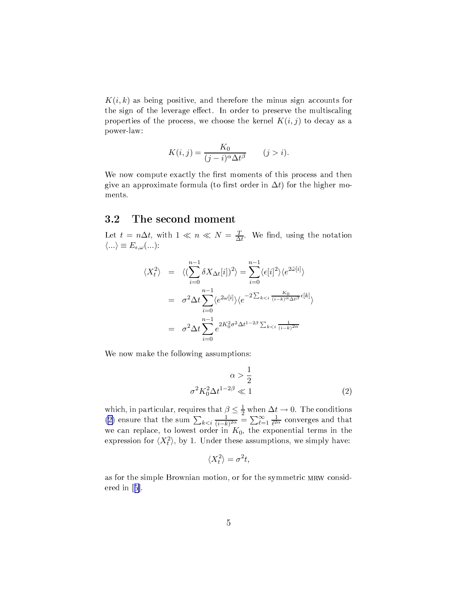$K(i,k)$  as being positive, and therefore the minus sign accounts for the sign of the leverage effect. In order to preserve the multiscaling properties of the process, we choose the kernel  $K(i, j)$  to decay as a power-law:

$$
K(i,j) = \frac{K_0}{(j-i)^{\alpha} \Delta t^{\beta}} \qquad (j > i).
$$

We now compute exactly the first moments of this process and then give an approximate formula (to first order in  $\Delta t$ ) for the higher moments.

### The second moment 3.2

Let  $t = n\Delta t$ , with  $1 \ll n \ll N = \frac{T}{\Delta t}$ . We find, using the notation  $\langle ... \rangle \equiv E_{\epsilon,\omega}(...)$ 

$$
\langle X_t^2 \rangle = \langle (\sum_{i=0}^{n-1} \delta X_{\Delta t}[i])^2 \rangle = \sum_{i=0}^{n-1} \langle \epsilon[i]^2 \rangle \langle e^{2\tilde{\omega}[i]} \rangle
$$
  

$$
= \sigma^2 \Delta t \sum_{i=0}^{n-1} \langle e^{2\omega[i]} \rangle \langle e^{-2 \sum_{k < i} \frac{K_0}{(i-k)^\alpha \Delta t^\beta} \epsilon[k]} \rangle
$$
  

$$
= \sigma^2 \Delta t \sum_{i=0}^{n-1} e^{2K_0^2 \sigma^2 \Delta t^{1-2\beta} \sum_{k < i} \frac{1}{(i-k)^{2\alpha}}}
$$

We now make the following assumptions:

$$
\alpha > \frac{1}{2}
$$

$$
\sigma^2 K_0^2 \Delta t^{1-2\beta} \ll 1
$$
 (2)

which, in particular, requires that  $\beta \leq \frac{1}{2}$  when  $\Delta t \to 0$ . The conditions (2) ensure that the sum  $\sum_{k \leq i} \frac{1}{(i-k)^{2\alpha}} = \sum_{\ell=1}^{\infty} \frac{1}{\ell^{2\alpha}}$  converges and that we can replace, to lowest order in  $K_0$ , th expression for  $\langle X_t^2 \rangle$ , by 1. Under these assumptions, we simply have:

$$
\langle X_t^2 \rangle = \sigma^2 t,
$$

as for the simple Brownian motion, or for the symmetric MRW considered in  $[5]$ .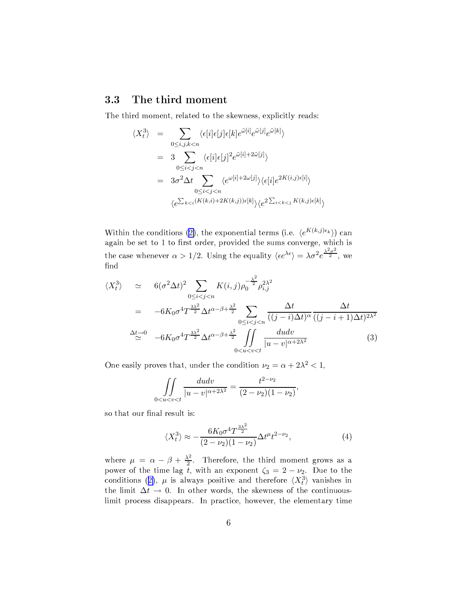#### The third moment 3.3

The third moment, related to the skewness, explicitly reads:

$$
\langle X_t^3 \rangle = \sum_{0 \le i,j,k < n} \langle \epsilon[i] \epsilon[j] \epsilon[k] e^{\tilde{\omega}[i]} e^{\tilde{\omega}[j]} e^{\tilde{\omega}[k]} \rangle
$$
\n
$$
= 3 \sum_{0 \le i < j < n} \langle \epsilon[i] \epsilon[j]^2 e^{\tilde{\omega}[i] + 2\tilde{\omega}[j]} \rangle
$$
\n
$$
= 3\sigma^2 \Delta t \sum_{0 \le i < j < n} \langle e^{\omega[i] + 2\omega[j]} \rangle \langle \epsilon[i] e^{2K(i,j)\epsilon[i]} \rangle
$$
\n
$$
\langle e^{\sum_{k < i} (K(k,i) + 2K(k,j))\epsilon[k]} \rangle \langle e^{2\sum_{i < k < j} K(k,j)\epsilon[k]} \rangle
$$

Within the conditions (2), the exponential terms (i.e.  $\langle e^{K(k,j)\epsilon_k} \rangle$ ) can again be set to 1 to first order, provided the sums converge, which is the case whenever  $\alpha > 1/2$ . Using the equality  $\langle \epsilon e^{\lambda \epsilon} \rangle = \lambda \sigma^2 e^{\frac{\lambda^2 \sigma^2}{2}}$ , we find

$$
\langle X_t^3 \rangle \simeq 6(\sigma^2 \Delta t)^2 \sum_{0 \le i < j < n} K(i, j) \rho_0^{-\frac{\lambda^2}{2}} \rho_{i, j}^{2\lambda^2}
$$
  
\n
$$
= -6K_0 \sigma^4 T^{\frac{3\lambda^2}{2}} \Delta t^{\alpha - \beta + \frac{\lambda^2}{2}} \sum_{0 \le i < j < n} \frac{\Delta t}{((j - i)\Delta t)^{\alpha}} \frac{\Delta t}{((j - i + 1)\Delta t)^{2\lambda^2}}
$$
  
\n
$$
\stackrel{\Delta t \to 0}{\simeq} -6K_0 \sigma^4 T^{\frac{3\lambda^2}{2}} \Delta t^{\alpha - \beta + \frac{\lambda^2}{2}} \iint_{0 \le u < v < t} \frac{dudv}{|u - v|^{\alpha + 2\lambda^2}}
$$
(3)

One easily proves that, under the condition  $\nu_2 = \alpha + 2\lambda^2 < 1$ ,

$$
\iint\limits_{0
$$

so that our final result is:

$$
\langle X_t^3 \rangle \approx -\frac{6K_0 \sigma^4 T^{\frac{3\lambda^2}{2}}}{(2-\nu_2)(1-\nu_2)} \Delta t^{\mu} t^{2-\nu_2},\tag{4}
$$

where  $\mu = \alpha - \beta + \frac{\lambda^2}{2}$ . Therefore, the third moment grows as a power of the time lag t, with an exponent  $\zeta_3 = 2 - \nu_2$ . Due to the conditions (2),  $\mu$  is always positive and therefore  $\langle X_t^3 \rangle$  vanishes in the limit  $\Delta t \rightarrow 0$ . In other words, the skewness of the continuouslimit process disappears. In practice, however, the elementary time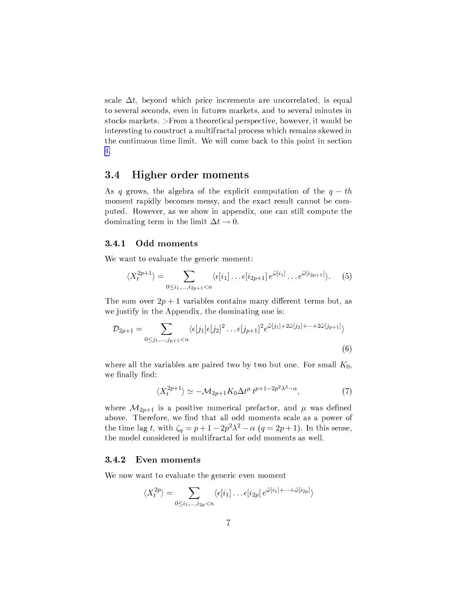scale  $\Delta t$ , beyond which price increments are uncorrelated, is equal to several seconds, even in futures markets, and to several minutes in stocks markets. >From a theoretical perspective, however, it would be interesting to construct a multifractal process which remains skewed in the continuous time limit. We will come back to this point in section 4.

#### Higher order moments 3.4

As q grows, the algebra of the explicit computation of the  $q-th$ moment rapidly becomes messy, and the exact result cannot be computed. However, as we show in appendix, one can still compute the dominating term in the limit  $\Delta t \rightarrow 0$ .

#### $3.4.1$ Odd moments

We want to evaluate the generic moment:

$$
\langle X_t^{2p+1} \rangle = \sum_{0 \le i_1, \dots, i_{2p+1} < n} \langle \epsilon[i_1] \dots \epsilon[i_{2p+1}] \, e^{\tilde{\omega}[i_1]} \dots e^{\tilde{\omega}[i_{2p+1}]} \rangle. \tag{5}
$$

The sum over  $2p + 1$  variables contains many different terms but, as we justify in the Appendix, the dominating one is:

$$
\mathcal{D}_{2p+1} = \sum_{0 \le j_1, \dots, j_{p+1} < n} \langle \epsilon[j_1] \epsilon[j_2]^2 \dots \epsilon[j_{p+1}]^2 e^{\tilde{\omega}[j_1] + 2\tilde{\omega}[j_2] + \dots + 2\tilde{\omega}[j_{p+1}]} \rangle \tag{6}
$$

where all the variables are paired two by two but one. For small  $K_0$ , we finally find:

$$
\langle X_t^{2p+1} \rangle \simeq -\mathcal{M}_{2p+1} K_0 \Delta t^{\mu} t^{p+1-2p^2 \lambda^2 - \alpha},\tag{7}
$$

where  $\mathcal{M}_{2p+1}$  is a positive numerical prefactor, and  $\mu$  was defined above. Therefore, we find that all odd moments scale as a power of the time lag t, with  $\zeta_q = p + 1 - 2p^2\lambda^2 - \alpha (q = 2p + 1)$ . In this sense, the model considered is multifractal for odd moments as well.

#### 3.4.2 Even moments

We now want to evaluate the generic even moment

$$
\langle X_t^{2p} \rangle = \sum_{0 \le i_1, \dots, i_{2p} < n} \langle \epsilon[i_1] \dots \epsilon[i_{2p}] \, e^{\tilde{\omega}[i_1] + \dots + \tilde{\omega}[i_{2p}]} \rangle
$$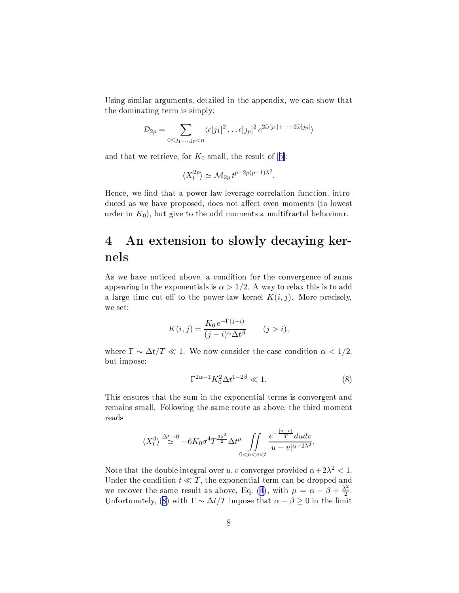<span id="page-7-0"></span>Using similar arguments, detailed in the appendix, we can show that the dominating term is simply:

$$
\mathcal{D}_{2p} = \sum_{0 \leq j_1, \dots, j_p < n} \langle \epsilon[j_1]^2 \dots \epsilon[j_p]^2 \, e^{2\tilde{\omega}[j_1] + \dots + 2\tilde{\omega}[j_p]} \rangle
$$

and that we retrieve, for  $K_0$  small, the result of [5]:

$$
\langle X_t^{2p} \rangle \simeq \mathcal{M}_{2p} t^{p-2p(p-1)\lambda^2}.
$$

Hence, we find that a power-law leverage correlation function, introduced as we have proposed, does not affect even moments (to lowest order in  $K_0$ ), but give to the odd moments a multifractal behaviour.

# An extension to slowly decaying ker- $\overline{4}$ nels

As we have noticed above, a condition for the convergence of sums appearing in the exponentials is  $\alpha > 1/2$ . A way to relax this is to add a large time cut-off to the power-law kernel  $K(i, j)$ . More precisely, we set:

$$
K(i,j) = \frac{K_0 e^{-\Gamma(j-i)}}{(j-i)^{\alpha} \Delta t^{\beta}} \qquad (j > i),
$$

where  $\Gamma \sim \Delta t/T \ll 1$ . We now consider the case condition  $\alpha < 1/2$ , but impose:

$$
\Gamma^{2\alpha - 1} K_0^2 \Delta t^{1 - 2\beta} \ll 1. \tag{8}
$$

This ensures that the sum in the exponential terms is convergent and remains small. Following the same route as above, the third moment reads

$$
\langle X_t^3 \rangle \stackrel{\Delta t \to 0}{\simeq} -6K_0 \sigma^4 T^{\frac{3\lambda^2}{2}} \Delta t^{\mu} \iint\limits_{0 < u < v < t} \frac{e^{-\frac{|u - v|}{T}} du dv}{|u - v|^{\alpha + 2\lambda^2}}.
$$

Note that the double integral over u, v converges provided  $\alpha + 2\lambda^2 < 1$ . Under the condition  $t \ll T$ , the exponential term can be dropped and we recover the same result as above, Eq. (4), with  $\mu = \alpha - \beta + \frac{\lambda^2}{2}$ .<br>Unfortunately, (8) with  $\Gamma \sim \Delta t/T$  impose that  $\alpha - \beta \ge 0$  in the limit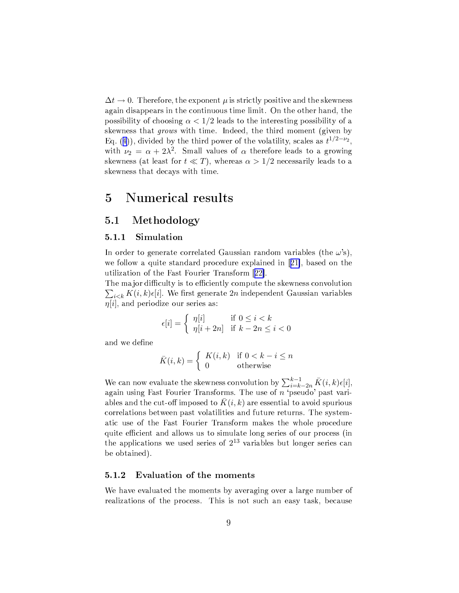$\Delta t \rightarrow 0$ . Therefore, the exponent  $\mu$  is strictly positive and the skewness again disappears in the continuous time limit. On the other hand, the possibility of choosing  $\alpha < 1/2$  leads to the interesting possibility of a skewness that grows with time. Indeed, the third moment (given by Eq. (4)), divided by the third power of the volatility, scales as  $t^{1/2-\nu_2}$ , with  $\nu_2 = \alpha + 2\lambda^2$ . Small values of  $\alpha$  therefore leads to a growing skewness (at least for  $t \ll T$ ), whereas  $\alpha > 1/2$  necessarily leads to a skewness that decays with time.

## Numerical results  $\overline{5}$

#### $5.1$ Methodology

#### Simulation  $5.1.1$

In order to generate correlated Gaussian random variables (the  $\omega$ 's), we follow a quite standard procedure explained in [21], based on the utilization of the Fast Fourier Transform [22].

The major difficulty is to efficiently compute the skewness convolution  $\sum_{i\leq k} K(i,k) \epsilon[i]$ . We first generate 2n independent Gaussian variables  $\eta[i]$ , and periodize our series as:

$$
\epsilon[i] = \begin{cases} \eta[i] & \text{if } 0 \le i < k \\ \eta[i+2n] & \text{if } k - 2n \le i < 0 \end{cases}
$$

and we define

$$
\bar{K}(i,k) = \begin{cases} K(i,k) & \text{if } 0 < k - i \le n \\ 0 & \text{otherwise} \end{cases}
$$

We can now evaluate the skewness convolution by  $\sum_{i=k-2n}^{k-1} \bar{K}(i,k)\epsilon[i]$ , again using Fast Fourier Transforms. The use of  $n$  'pseudo' past variables and the cut-off imposed to  $K(i,k)$  are essential to avoid spurious correlations between past volatilities and future returns. The systematic use of the Fast Fourier Transform makes the whole procedure quite efficient and allows us to simulate long series of our process (in the applications we used series of  $2^{13}$  variables but longer series can be obtained).

#### Evaluation of the moments  $5.1.2$

We have evaluated the moments by averaging over a large number of realizations of the process. This is not such an easy task, because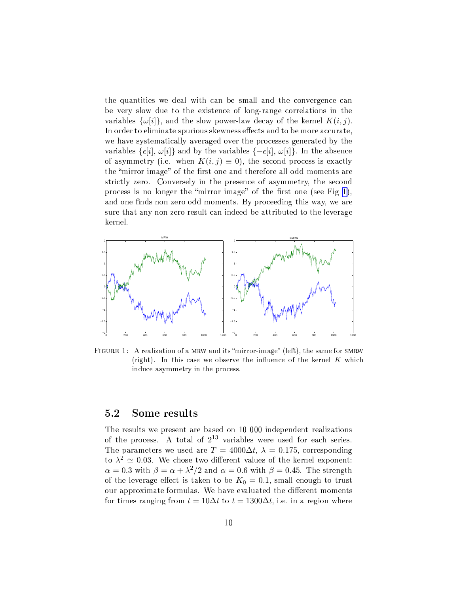the quantities we deal with can be small and the convergence can be very slow due to the existence of long-range correlations in the variables  $\{\omega[i]\}$ , and the slow power-law decay of the kernel  $K(i, j)$ . In order to eliminate spurious skewness effects and to be more accurate, we have systematically averaged over the processes generated by the variables  $\{\epsilon[i], \omega[i]\}$  and by the variables  $\{-\epsilon[i], \omega[i]\}$ . In the absence of asymmetry (i.e. when  $K(i, j) \equiv 0$ ), the second process is exactly the "mirror image" of the first one and therefore all odd moments are strictly zero. Conversely in the presence of asymmetry, the second process is no longer the "mirror image" of the first one (see Fig 1), and one finds non zero odd moments. By proceeding this way, we are sure that any non zero result can indeed be attributed to the leverage kernel.



FIGURE 1: A realization of a MRW and its "mirror-image" (left), the same for SMRW (right). In this case we observe the influence of the kernel  $K$  which induce asymmetry in the process.

#### 5.2 Some results

The results we present are based on 10 000 independent realizations of the process. A total of  $2^{13}$  variables were used for each series. The parameters we used are  $T = 4000\Delta t$ ,  $\lambda = 0.175$ , corresponding to  $\lambda^2 \simeq 0.03$ . We chose two different values of the kernel exponent:  $\alpha = 0.3$  with  $\beta = \alpha + \lambda^2/2$  and  $\alpha = 0.6$  with  $\beta = 0.45$ . The strength of the leverage effect is taken to be  $K_0 = 0.1$ , small enough to trust our approximate formulas. We have evaluated the different moments for times ranging from  $t = 10\Delta t$  to  $t = 1300\Delta t$ , i.e. in a region where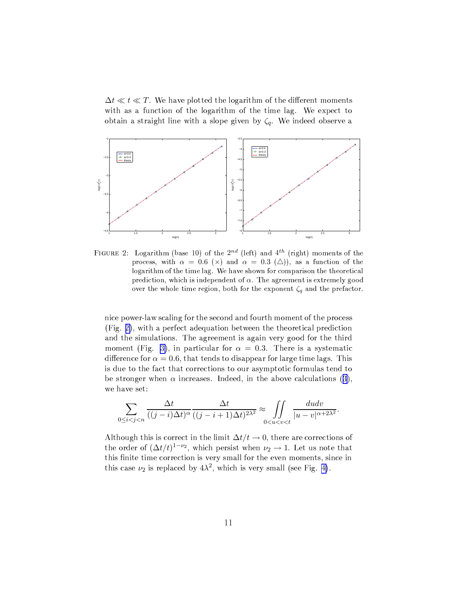$\Delta t \ll t \ll T$ . We have plotted the logarithm of the different moments with as a function of the logarithm of the time lag. We expect to obtain a straight line with a slope given by  $\zeta_q$ . We indeed observe a



FIGURE 2: Logarithm (base 10) of the  $2^{nd}$  (left) and  $4^{th}$  (right) moments of the process, with  $\alpha = 0.6$  (x) and  $\alpha = 0.3$  ( $\triangle$ )), as a function of the logarithm of the time lag. We have shown for comparison the theoretical prediction, which is independent of  $\alpha$ . The agreement is extremely good over the whole time region, both for the exponent  $\zeta_q$  and the prefactor.

nice power-law scaling for the second and fourth moment of the process  $(Fig. 2)$ , with a perfect adequation between the theoretical prediction and the simulations. The agreement is again very good for the third moment (Fig. 3), in particular for  $\alpha = 0.3$ . There is a systematic difference for  $\alpha = 0.6$ , that tends to disappear for large time lags. This is due to the fact that corrections to our asymptotic formulas tend to be stronger when  $\alpha$  increases. Indeed, in the above calculations (3), we have set:

$$
\sum_{0 \le i < j < n} \frac{\Delta t}{((j-i)\Delta t)^\alpha} \frac{\Delta t}{((j-i+1)\Delta t)^{2\lambda^2}} \approx \iint_{0 < u < v < t} \frac{du dv}{|u - v|^{\alpha + 2\lambda^2}}.
$$

Although this is correct in the limit  $\Delta t/t \to 0$ , there are corrections of the order of  $(\Delta t/t)^{1-\nu_2}$ , which persist when  $\nu_2 \to 1$ . Let us note that this finite time correction is very small for the even moments, since in this case  $\nu_2$  is replaced by  $4\lambda^2$ , which is very small (see Fig. 4).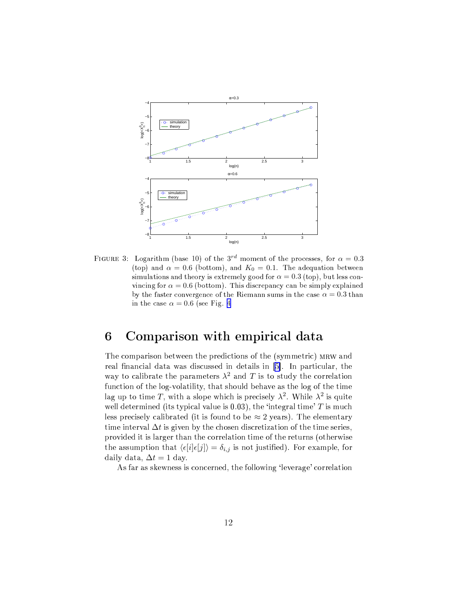<span id="page-11-0"></span>

FIGURE 3: Logarithm (base 10) of the 3<sup>rd</sup> moment of the processes, for  $\alpha = 0.3$ (top) and  $\alpha = 0.6$  (bottom), and  $K_0 = 0.1$ . The adequation between simulations and theory is extremely good for  $\alpha = 0.3$  (top), but less convincing for  $\alpha = 0.6$  (bottom). This discrepancy can be simply explained by the faster convergence of the Riemann sums in the case  $\alpha = 0.3$  than in the case  $\alpha = 0.6$  (see Fig. 4

## 6 Comparison with empirical data

The comparison between the predictions of the (symmetric) MRW and real financial data was discussed in details in [5]. In particular, the way to calibrate the parameters  $\lambda^2$  and T is to study the correlation function of the log-volatility, that should behave as the log of the time lag up to time T, with a slope which is precisely  $\lambda^2$ . While  $\lambda^2$  is quite well determined (its typical value is  $(0.03)$ , the 'integral time' T is much less precisely calibrated (it is found to be  $\approx 2$  years). The elementary time interval  $\Delta t$  is given by the chosen discretization of the time series, provided it is larger than the correlation time of the returns (otherwise the assumption that  $\langle \epsilon[i] \epsilon[j] \rangle = \delta_{i,j}$  is not justified). For example, for daily data,  $\Delta t = 1$  day.

As far as skewness is concerned, the following 'leverage' correlation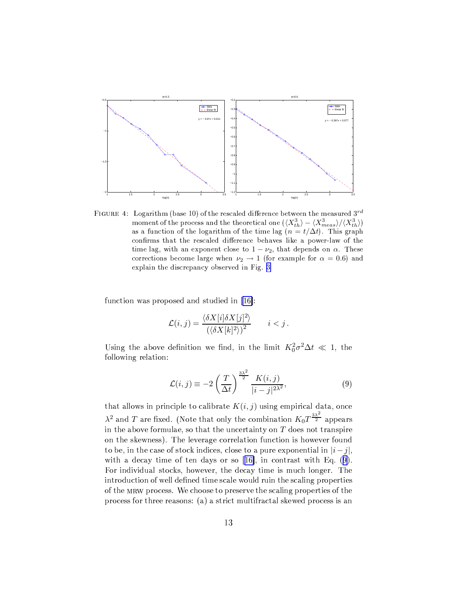<span id="page-12-0"></span>

FIGURE 4: Logarithm (base 10) of the rescaled difference between the measured  $3^{rd}$ moment of the process and the theoretical one  $(\langle X_{th}^3 \rangle - \langle X_{meas}^3 \rangle / \langle X_{th}^3 \rangle)$ as a function of the logarithm of the time lag  $(n = t/\Delta t)$ . This graph confirms that the rescaled difference behaves like a power-law of the time lag, with an exponent close to  $1 - \nu_2$ , that depends on  $\alpha$ . These corrections become large when  $\nu_2 \rightarrow 1$  (for example for  $\alpha = 0.6$ ) and explain the discrepancy observed in Fig. 3

function was proposed and studied in [16]:

$$
\mathcal{L}(i,j) = \frac{\langle \delta X[i] \delta X[j]^2 \rangle}{\left(\langle \delta X[k]^2 \rangle\right)^2} \qquad i < j.
$$

Using the above definition we find, in the limit  $K_0^2 \sigma^2 \Delta t \ll 1$ , the following relation:

$$
\mathcal{L}(i,j) \equiv -2\left(\frac{T}{\Delta t}\right)^{\frac{3\lambda^2}{2}} \frac{K(i,j)}{|i-j|^{2\lambda^2}},\tag{9}
$$

that allows in principle to calibrate  $K(i, j)$  using empirical data, once  $\lambda^2$  and T are fixed. (Note that only the combination  $K_0 T^{\frac{3\lambda^2}{2}}$  appears in the above formulae, so that the uncertainty on  $T$  does not transpire on the skewness). The leverage correlation function is however found to be, in the case of stock indices, close to a pure exponential in  $|i-j|$ , with a decay time of ten days or so  $[16]$ , in contrast with Eq.  $(9)$ . For individual stocks, however, the decay time is much longer. The introduction of well defined time scale would ruin the scaling properties of the MRW process. We choose to preserve the scaling properties of the process for three reasons: (a) a strict multifractal skewed process is an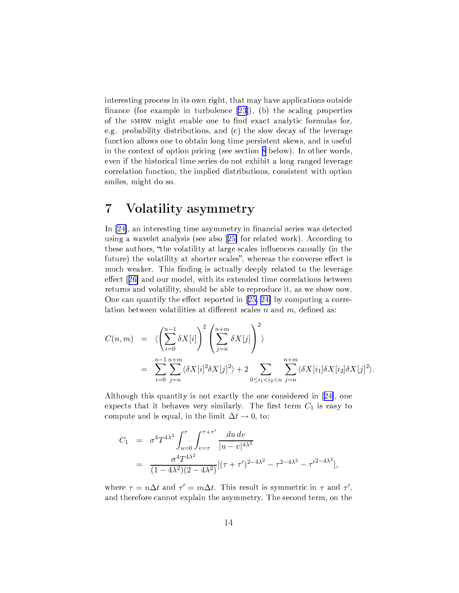interesting process in its own right, that may have applications outside finance (for example in turbulence  $[23]$ ), (b) the scaling properties of the SMRW might enable one to find exact analytic formulas for, e.g. probability distributions, and (c) the slow decay of the leverage function allows one to obtain long time persistent skews, and is useful in the context of option pricing (see section 8 below). In other words, even if the historical time series do not exhibit a long ranged leverage correlation function, the implied distributions, consistent with option smiles, might do so.

## 7 Volatility asymmetry

In [24], an interesting time asymmetry in financial series was detected using a wavelet analysis (see also [25] for related work). According to these authors, "the volatility at large scales influences causally (in the future) the volatility at shorter scales", whereas the converse effect is much weaker. This finding is actually deeply related to the leverage effect [26] and our model, with its extended time correlations between returns and volatility, should be able to reproduce it, as we show now. One can quantify the effect reported in [25, 24] by computing a correlation between volatilities at different scales  $n$  and  $m$ , defined as:

$$
C(n,m) = \langle \left(\sum_{i=0}^{n-1} \delta X[i]\right)^2 \left(\sum_{j=n}^{n+m} \delta X[j]\right)^2 \rangle
$$
  
= 
$$
\sum_{i=0}^{n-1} \sum_{j=n}^{n+m} \langle \delta X[i]^2 \delta X[j]^2 \rangle + 2 \sum_{0 \le i_1 < i_2 < n} \sum_{j=n}^{n+m} \langle \delta X[i_1] \delta X[i_2] \delta X[j]^2 \rangle
$$

Although this quantity is not exactly the one considered in [24], one expects that it behaves very similarly. The first term  $C_1$  is easy to compute and is equal, in the limit  $\Delta t \rightarrow 0$ , to:

$$
C_1 = \sigma^4 T^{4\lambda^2} \int_{u=0}^{\tau} \int_{v=\tau}^{\tau+\tau'} \frac{du \, dv}{|u-v|^{4\lambda^2}}
$$
  
= 
$$
\frac{\sigma^4 T^{4\lambda^2}}{(1-4\lambda^2)(2-4\lambda^2)} [(\tau+\tau')^{2-4\lambda^2} - \tau^{2-4\lambda^2} - \tau'^{2-4\lambda^2}],
$$

where  $\tau = n\Delta t$  and  $\tau' = m\Delta t$ . This result is symmetric in  $\tau$  and  $\tau'$ , and therefore cannot explain the asymmetry. The second term, on the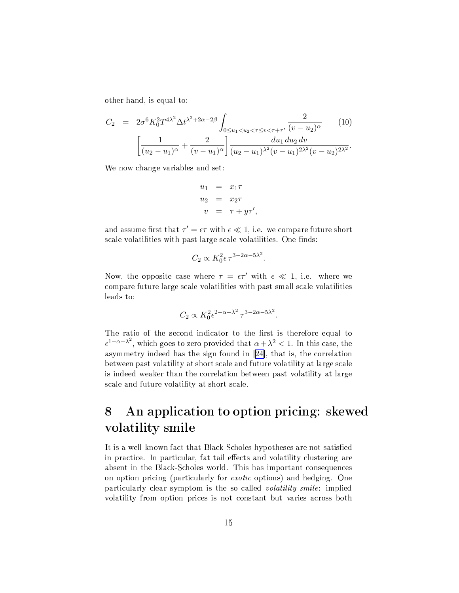<span id="page-14-0"></span>other hand, is equal to:

$$
C_2 = 2\sigma^6 K_0^2 T^{4\lambda^2} \Delta t^{\lambda^2 + 2\alpha - 2\beta} \int_{0 \le u_1 < u_2 < \tau \le v < \tau + \tau'} \frac{2}{(v - u_2)^\alpha} \tag{10}
$$
\n
$$
\left[ \frac{1}{(u_2 - u_1)^\alpha} + \frac{2}{(v - u_1)^\alpha} \right] \frac{du_1 \, du_2 \, dv}{(u_2 - u_1)^{\lambda^2} (v - u_1)^{2\lambda^2} (v - u_2)^{2\lambda^2}}.
$$

We now change variables and set:

$$
u_1 = x_1 \tau
$$
  
\n
$$
u_2 = x_2 \tau
$$
  
\n
$$
v = \tau + y \tau',
$$

and assume first that  $\tau' = \epsilon \tau$  with  $\epsilon \ll 1$ , i.e. we compare future short scale volatilities with past large scale volatilities. One finds:

$$
C_2 \propto K_0^2 \epsilon \tau^{3-2\alpha-5\lambda^2}
$$

Now, the opposite case where  $\tau = \epsilon \tau'$  with  $\epsilon \ll 1$ , i.e. where we compare future large scale volatilities with past small scale volatilities leads to:

$$
C_2 \propto K_0^2 \epsilon^{2-\alpha-\lambda^2} \tau^{3-2\alpha-5\lambda^2}.
$$

The ratio of the second indicator to the first is therefore equal to  $\epsilon^{1-\alpha-\lambda^2}$ , which goes to zero provided that  $\alpha+\lambda^2 < 1$ . In this case, the asymmetry indeed has the sign found in [24], that is, the correlation between past volatility at short scale and future volatility at large scale is indeed weaker than the correlation between past volatility at large scale and future volatility at short scale.

# An application to option pricing: skewed 8 volatility smile

It is a well known fact that Black-Scholes hypotheses are not satisfied in practice. In particular, fat tail effects and volatility clustering are absent in the Black-Scholes world. This has important consequences on option pricing (particularly for *exotic* options) and hedging. One particularly clear symptom is the so called *volatility smile*: implied volatility from option prices is not constant but varies across both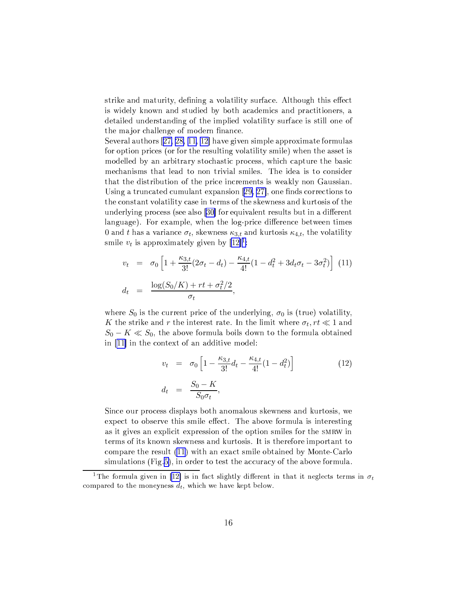<span id="page-15-0"></span>strike and maturity, defining a volatility surface. Although this effect is widely known and studied by both academics and practitioners, a detailed understanding of the implied volatility surface is still one of the major challenge of modern finance.

Several authors  $[27, 28, 11, 12]$  have given simple approximate formulas for option prices (or for the resulting volatility smile) when the asset is modelled by an arbitrary stochastic process, which capture the basic mechanisms that lead to non trivial smiles. The idea is to consider that the distribution of the price increments is weakly non Gaussian. Using a truncated cumulant expansion [29, 27], one finds corrections to the constant volatility case in terms of the skewness and kurtosis of the underlying process (see also [30] for equivalent results but in a different language). For example, when the log-price difference between times 0 and t has a variance  $\sigma_t$ , skewness  $\kappa_{3,t}$  and kurtosis  $\kappa_{4,t}$ , the volatility smile  $v_t$  is approximately given by  $[12]$ <sup>1</sup>:

$$
v_t = \sigma_0 \left[ 1 + \frac{\kappa_{3,t}}{3!} (2\sigma_t - d_t) - \frac{\kappa_{4,t}}{4!} (1 - d_t^2 + 3d_t\sigma_t - 3\sigma_t^2) \right]
$$
(11)  

$$
d_t = \frac{\log(S_0/K) + rt + \sigma_t^2/2}{\sigma_t},
$$

where  $S_0$  is the current price of the underlying,  $\sigma_0$  is (true) volatility, K the strike and r the interest rate. In the limit where  $\sigma_t, rt \ll 1$  and  $S_0 - K \ll S_0$ , the above formula boils down to the formula obtained in [11] in the context of an additive model:

$$
v_t = \sigma_0 \left[ 1 - \frac{\kappa_{3,t}}{3!} d_t - \frac{\kappa_{4,t}}{4!} (1 - d_t^2) \right]
$$
  
\n
$$
d_t = \frac{S_0 - K}{S_0 \sigma_t},
$$
\n(12)

Since our process displays both anomalous skewness and kurtosis, we expect to observe this smile effect. The above formula is interesting as it gives an explicit expression of the option smiles for the SMRW in terms of its known skewness and kurtosis. It is therefore important to compare the result (11) with an exact smile obtained by Monte-Carlo simulations (Fig.5), in order to test the accuracy of the above formula.

<sup>&</sup>lt;sup>1</sup>The formula given in [12] is in fact slightly different in that it neglects terms in  $\sigma_t$ compared to the moneyness  $d_t$ , which we have kept below.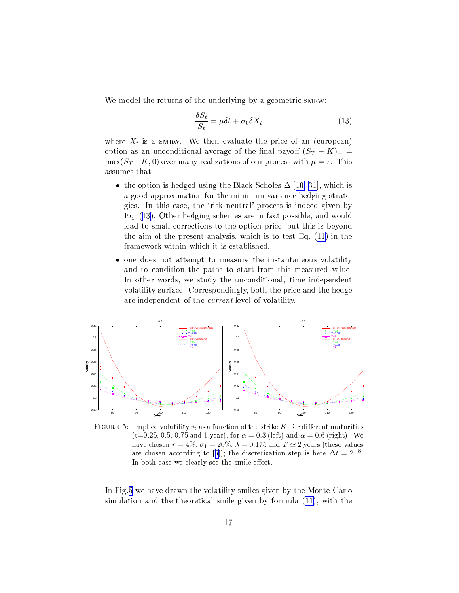<span id="page-16-0"></span>We model the returns of the underlying by a geometric SMRW:

$$
\frac{\delta S_t}{S_t} = \mu \delta t + \sigma_0 \delta X_t \tag{13}
$$

where  $X_t$  is a SMRW. We then evaluate the price of an (european) option as an unconditional average of the final payoff  $(S_T - K)_+$  $\max(S_T - K, 0)$  over many realizations of our process with  $\mu = r$ . This assumes that

- the option is hedged using the Black-Scholes  $\Delta$  [10, 31], which is a good approximation for the minimum variance hedging strategies. In this case, the 'risk neutral' process is indeed given by Eq.  $(13)$ . Other hedging schemes are in fact possible, and would lead to small corrections to the option price, but this is beyond the aim of the present analysis, which is to test Eq.  $(11)$  in the framework within which it is established.
- one does not attempt to measure the instantaneous volatility and to condition the paths to start from this measured value. In other words, we study the unconditional, time independent volatility surface. Correspondingly, both the price and the hedge are independent of the *current* level of volatility.



FIGURE 5: Implied volatility  $v_t$  as a function of the strike K, for different maturities  $(t=0.25, 0.5, 0.75$  and 1 year), for  $\alpha = 0.3$  (left) and  $\alpha = 0.6$  (right). We have chosen  $r = 4\%, \sigma_1 = 20\%, \lambda = 0.175$  and  $T \simeq 2$  years (these values are chosen according to [5]); the discretization step is here  $\Delta t = 2^{-8}$ . In both case we clearly see the smile effect.

In Fig.5 we have drawn the volatility smiles given by the Monte-Carlo simulation and the theoretical smile given by formula (11), with the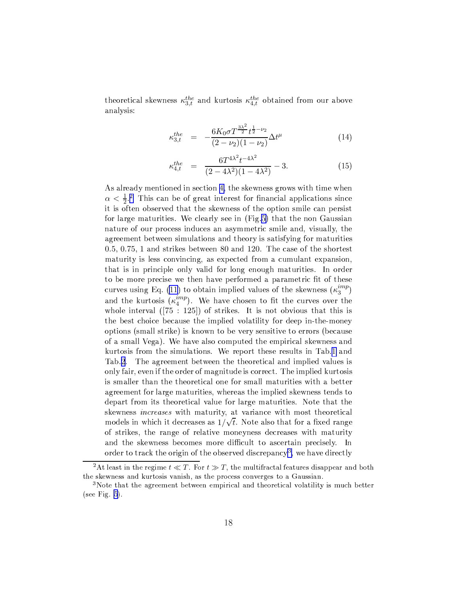<span id="page-17-0"></span>theoretical skewness  $\kappa_{3,t}^{the}$  and kurtosis  $\kappa_{4,t}^{the}$  obtained from our above analysis:

$$
\kappa_{3,t}^{the} = -\frac{6K_0\sigma T^{\frac{3\lambda^2}{2}}t^{\frac{1}{2}-\nu_2}}{(2-\nu_2)(1-\nu_2)}\Delta t^{\mu} \tag{14}
$$

$$
\kappa_{4,t}^{the} = \frac{6T^{4\lambda^2}t^{-4\lambda^2}}{(2-4\lambda^2)(1-4\lambda^2)} - 3.
$$
\n(15)

As already mentioned in section 4, the skewness grows with time when  $\alpha < \frac{1}{2}$ . This can be of great interest for financial applications since it is often observed that the skewness of the option smile can persist for large maturities. We clearly see in (Fig.5) that the non Gaussian nature of our process induces an asymmetric smile and, visually, the agreement between simulations and theory is satisfying for maturities  $0.5, 0.75, 1$  and strikes between 80 and 120. The case of the shortest maturity is less convincing, as expected from a cumulant expansion, that is in principle only valid for long enough maturities. In order to be more precise we then have performed a parametric fit of these curves using Eq. (11) to obtain implied values of the skewness  $(\kappa_3^{imp})$ and the kurtosis  $(\kappa_4^{imp})$ . We have chosen to fit the curves over the whole interval  $(75 : 125)$  of strikes. It is not obvious that this is the best choice because the implied volatility for deep in-the-money options (small strike) is known to be very sensitive to errors (because of a small Vega). We have also computed the empirical skewness and kurtosis from the simulations. We report these results in Tab.1 and Tab.2. The agreement between the theoretical and implied values is only fair, even if the order of magnitude is correct. The implied kurtosis is smaller than the theoretical one for small maturities with a better agreement for large maturities, whereas the implied skewness tends to depart from its theoretical value for large maturities. Note that the skewness *increases* with maturity, at variance with most theoretical models in which it decreases as  $1/\sqrt{t}$ . Note also that for a fixed range of strikes, the range of relative moneyness decreases with maturity and the skewness becomes more difficult to ascertain precisely. In order to track the origin of the observed discrepancy<sup>3</sup>, we have directly

<sup>&</sup>lt;sup>2</sup>At least in the regime  $t \ll T$ . For  $t \gg T$ , the multifractal features disappear and both the skewness and kurtosis vanish, as the process converges to a Gaussian.

<sup>&</sup>lt;sup>3</sup>Note that the agreement between empirical and theoretical volatility is much better (see Fig.  $5$ ).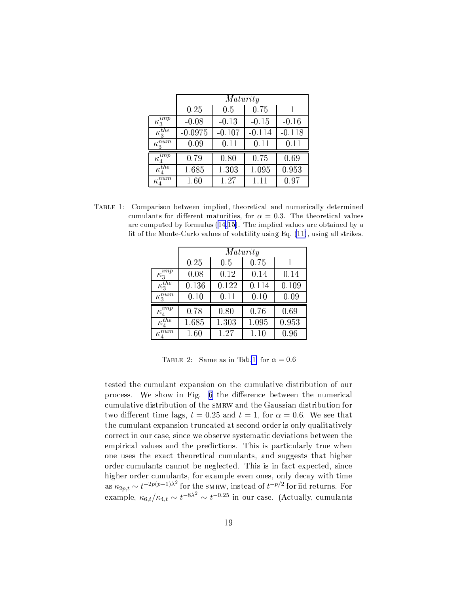<span id="page-18-0"></span>

|                                        | Maturity  |          |          |          |  |
|----------------------------------------|-----------|----------|----------|----------|--|
|                                        | 0.25      | 0.5      | 0.75     |          |  |
| $\kappa_3^{imp}$                       | $-0.08$   | $-0.13$  | $-0.15$  | $-0.16$  |  |
| $\kappa_3^{the}$                       | $-0.0975$ | $-0.107$ | $-0.114$ | $-0.118$ |  |
| $\kappa_3^{num}$                       | $-0.09$   | $-0.11$  | $-0.11$  | $-0.11$  |  |
| $\kappa_{\scriptscriptstyle{A}}^{imp}$ | 0.79      | 0.80     | 0.75     | 0.69     |  |
| $\kappa_4^{\overline{t}he}$            | 1.685     | 1.303    | 1.095    | 0.953    |  |
| $\kappa^{num}_4$                       | 1.60      | 1.27     | 1.11     | 0.97     |  |

TABLE 1: Comparison between implied, theoretical and numerically determined cumulants for different maturities, for  $\alpha = 0.3$ . The theoretical values are computed by formulas (14,15). The implied values are obtained by a fit of the Monte-Carlo values of volatility using Eq. (11), using all strikes.

|                                           | Maturity |          |          |          |  |
|-------------------------------------------|----------|----------|----------|----------|--|
|                                           | 0.25     | 0.5      | 0.75     |          |  |
| $\kappa_{\underline{3}}^{\overline{imp}}$ | $-0.08$  | $-0.12$  | $-0.14$  | $-0.14$  |  |
| $\kappa_3^{the}$                          | $-0.136$ | $-0.122$ | $-0.114$ | $-0.109$ |  |
| $\kappa_3^{num}$                          | $-0.10$  | $-0.11$  | $-0.10$  | $-0.09$  |  |
| $\kappa_4^{\widehat{\overline{imp}}}$     | 0.78     | 0.80     | 0.76     | 0.69     |  |
| $\kappa_4^{\overline{t}he}$               | 1.685    | 1.303    | 1.095    | 0.953    |  |
| $\kappa_4^{num}$                          | 1.60     | 1.27     | 1.10     | 0.96     |  |

TABLE 2: Same as in Tab.1, for  $\alpha = 0.6$ 

tested the cumulant expansion on the cumulative distribution of our process. We show in Fig. 6 the difference between the numerical cumulative distribution of the SMRW and the Gaussian distribution for two different time lags,  $t = 0.25$  and  $t = 1$ , for  $\alpha = 0.6$ . We see that the cumulant expansion truncated at second order is only qualitatively correct in our case, since we observe systematic deviations between the empirical values and the predictions. This is particularly true when one uses the exact theoretical cumulants, and suggests that higher order cumulants cannot be neglected. This is in fact expected, since higher order cumulants, for example even ones, only decay with time<br>as  $\kappa_{2p,t} \sim t^{-2p(p-1)\lambda^2}$  for the SMRW, instead of  $t^{-p/2}$  for iid returns. For<br>example,  $\kappa_{6,t}/\kappa_{4,t} \sim t^{-8\lambda^2} \sim t^{-0.25}$  in our case. (Actually, c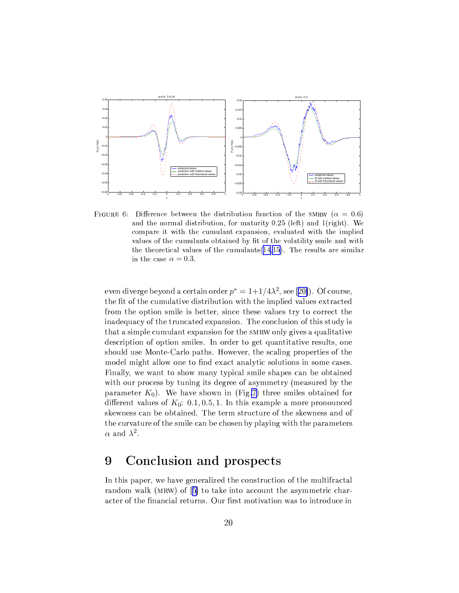<span id="page-19-0"></span>

FIGURE 6: Difference between the distribution function of the SMRW ( $\alpha = 0.6$ ) and the normal distribution, for maturity  $0.25$  (left) and  $1$ (right). We compare it with the cumulant expansion, evaluated with the implied values of the cumulants obtained by fit of the volatility smile and with the theoretical values of the cumulants  $(14,15)$ . The results are similar in the case  $\alpha = 0.3$ .

even diverge beyond a certain order  $p^* = 1 + 1/4\lambda^2$ , see [20]). Of course, the fit of the cumulative distribution with the implied values extracted from the option smile is better, since these values try to correct the inadequacy of the truncated expansion. The conclusion of this study is that a simple cumulant expansion for the SMRW only gives a qualitative description of option smiles. In order to get quantitative results, one should use Monte-Carlo paths. However, the scaling properties of the model might allow one to find exact analytic solutions in some cases. Finally, we want to show many typical smile shapes can be obtained with our process by tuning its degree of asymmetry (measured by the parameter  $K_0$ ). We have shown in (Fig.7) three smiles obtained for different values of  $K_0$ : 0.1, 0.5, 1. In this example a more pronounced skewness can be obtained. The term structure of the skewness and of the curvature of the smile can be chosen by playing with the parameters  $\alpha$  and  $\lambda^2$ .

### Conclusion and prospects 9

In this paper, we have generalized the construction of the multifractal random walk (MRW) of [5] to take into account the asymmetric character of the financial returns. Our first motivation was to introduce in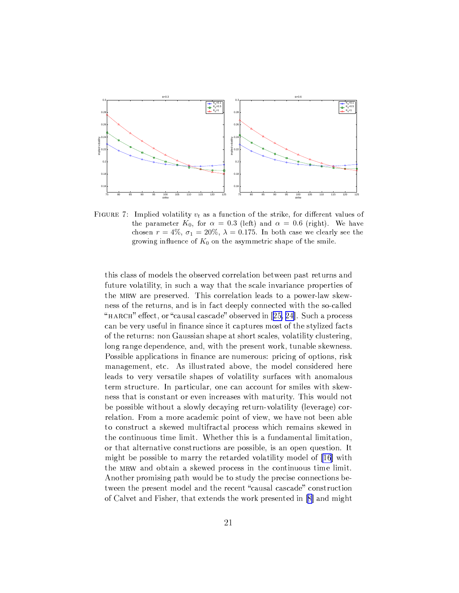<span id="page-20-0"></span>

FIGURE 7: Implied volatility  $v_t$  as a function of the strike, for different values of the parameter  $K_0$ , for  $\alpha = 0.3$  (left) and  $\alpha = 0.6$  (right). We have chosen  $r = 4\%, \sigma_1 = 20\%, \lambda = 0.175$ . In both case we clearly see the growing influence of  $K_0$  on the asymmetric shape of the smile.

this class of models the observed correlation between past returns and future volatility, in such a way that the scale invariance properties of the MRW are preserved. This correlation leads to a power-law skewness of the returns, and is in fact deeply connected with the so-called "HARCH" effect, or "causal cascade" observed in [25, 24]. Such a process can be very useful in finance since it captures most of the stylized facts of the returns: non Gaussian shape at short scales, volatility clustering, long range dependence, and, with the present work, tunable skewness. Possible applications in finance are numerous: pricing of options, risk management, etc. As illustrated above, the model considered here leads to very versatile shapes of volatility surfaces with anomalous term structure. In particular, one can account for smiles with skewness that is constant or even increases with maturity. This would not be possible without a slowly decaying return-volatility (leverage) correlation. From a more academic point of view, we have not been able to construct a skewed multifractal process which remains skewed in the continuous time limit. Whether this is a fundamental limitation, or that alternative constructions are possible, is an open question. It might be possible to marry the retarded volatility model of [16] with the MRW and obtain a skewed process in the continuous time limit. Another promising path would be to study the precise connections between the present model and the recent "causal cascade" construction of Calvet and Fisher, that extends the work presented in [8] and might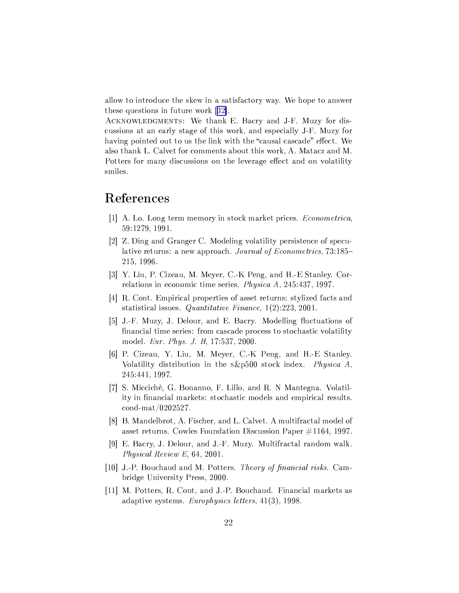<span id="page-21-0"></span>allow to introduce the skew in a satisfactory way. We hope to answer these questions in future work  $[32]$ .

ACKNOWLEDGMENTS: We thank E. Bacry and J-F. Muzy for discussions at an early stage of this work, and especially J-F. Muzy for having pointed out to us the link with the "causal cascade" effect. We also thank L. Calvet for comments about this work, A. Matacz and M. Potters for many discussions on the leverage effect and on volatility smiles.

# References

- [1] A. Lo. Long term memory in stock market prices. Econometrica, 59:1279, 1991.
- [2] Z. Ding and Granger C. Modeling volatility persistence of speculative returns: a new approach. Journal of Econometrics, 73:185– 215, 1996.
- [3] Y. Liu, P. Cizeau, M. Meyer, C.-K Peng, and H.-E Stanley. Correlations in economic time series. Physica A, 245:437, 1997.
- [4] R. Cont. Empirical properties of asset returns: stylized facts and statistical issues. Quantitative Finance,  $1(2)$ :223, 2001.
- [5] J.-F. Muzy, J. Delour, and E. Bacry. Modelling fluctuations of financial time series: from cascade process to stochastic volatility model. *Eur. Phys. J. B*, 17:537, 2000.
- [6] P. Cizeau, Y. Liu, M. Meyer, C.-K Peng, and H.-E Stanley. Volatility distribution in the s&p500 stock index. Physica A, 245:441, 1997.
- [7] S. Miccichè, G. Bonanno, F. Lillo, and R. N Mantegna. Volatility in financial markets: stochastic models and empirical results. cond-mat/0202527.
- [8] B. Mandelbrot, A. Fischer, and L. Calvet. A multifractal model of asset returns. Cowles Foundation Discussion Paper  $\#1164$ , 1997.
- [9] E. Bacry, J. Delour, and J.-F. Muzy. Multifractal random walk. Physical Review E,  $64$ , 2001.
- [10] J.-P. Bouchaud and M. Potters. Theory of financial risks. Cambridge University Press, 2000.
- [11] M. Potters, R. Cont, and J.-P. Bouchaud. Financial markets as adaptive systems. Europhysics letters, 41(3), 1998.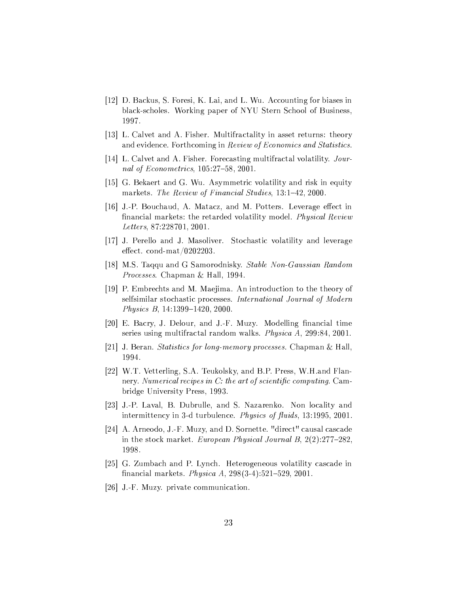- <span id="page-22-0"></span>[12] D. Backus, S. Foresi, K. Lai, and L. Wu. Accounting for biases in black-scholes. Working paper of NYU Stern School of Business, 1997.
- [13] L. Calvet and A. Fisher. Multifractality in asset returns: theory and evidence. Forthcoming in Review of Economics and Statistics.
- [14] L. Calvet and A. Fisher. Forecasting multifractal volatility. Journal of Econometrics, 105:27-58, 2001.
- [15] G. Bekaert and G. Wu. Asymmetric volatility and risk in equity markets. The Review of Financial Studies, 13:1-42, 2000.
- [16] J.-P. Bouchaud, A. Matacz, and M. Potters. Leverage effect in financial markets: the retarded volatility model. Physical Review Letters, 87:228701, 2001.
- [17] J. Perello and J. Masoliver. Stochastic volatility and leverage effect. cond-mat/0202203.
- [18] M.S. Taqqu and G Samorodnisky. Stable Non-Gaussian Random *Processes.* Chapman & Hall, 1994.
- [19] P. Embrechts and M. Maejima. An introduction to the theory of selfsimilar stochastic processes. International Journal of Modern Physics B, 14:1399-1420, 2000.
- [20] E. Bacry, J. Delour, and J.-F. Muzy. Modelling financial time series using multifractal random walks. Physica A, 299:84, 2001.
- [21] J. Beran. *Statistics for long-memory processes*. Chapman & Hall. 1994.
- [22] W.T. Vetterling, S.A. Teukolsky, and B.P. Press, W.H. and Flannery. Numerical recipes in C: the art of scientific computing. Cambridge University Press, 1993.
- [23] J.-P. Laval, B. Dubrulle, and S. Nazarenko. Non locality and intermittency in 3-d turbulence. Physics of fluids, 13:1995, 2001.
- [24] A. Arneodo, J.-F. Muzy, and D. Sornette. "direct" causal cascade in the stock market. European Physical Journal B,  $2(2):277-282$ , 1998.
- [25] G. Zumbach and P. Lynch. Heterogeneous volatility cascade in financial markets. *Physica A*,  $298(3-4):521-529$ , 2001.
- [26] J.-F. Muzy. private communication.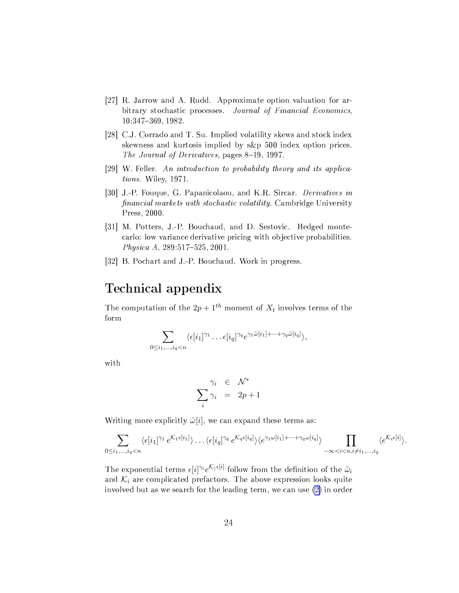- <span id="page-23-0"></span>[27] R. Jarrow and A. Rudd. Approximate option valuation for arbitrary stochastic processes. Journal of Financial Economics, 10:347-369, 1982.
- [28] C.J. Corrado and T. Su. Implied volatility skews and stock index skewness and kurtosis implied by s&p 500 index option prices. The Journal of Derivatives, pages 8-19, 1997.
- [29] W. Feller. An introduction to probability theory and its applications. Wiley, 1971.
- [30] J.-P. Fouque, G. Papanicolaou, and K.R. Sircar. Derivatives in *financial markets with stochastic volatility.* Cambridge University Press, 2000.
- [31] M. Potters, J.-P. Bouchaud, and D. Sestovic. Hedged montecarlo: low variance derivative pricing with objective probabilities. Physica A, 289:517-525, 2001.
- [32] B. Pochart and J.-P. Bouchaud. Work in progress.

# Technical appendix

The computation of the  $2p + 1^{th}$  moment of  $X_t$  involves terms of the form

$$
\sum_{0\leq i_1,\ldots,i_q
$$

with

$$
\sum_{i}^{\gamma_i} \begin{array}{rcl} \in & \mathcal{N}^* \\ \sum_{i} \gamma_i & = & 2p+1 \end{array}
$$

Writing more explicitly  $\tilde{\omega}[i]$ , we can expand these terms as:

$$
\sum_{0 \leq i_1, \ldots, i_q < n} \langle \epsilon[i_1]^{\gamma_1} e^{\mathcal{K}_1 \epsilon[i_1]} \rangle \ldots \langle \epsilon[i_q]^{\gamma_q} e^{\mathcal{K}_q \epsilon[i_q]} \rangle \langle e^{\gamma_1 \omega[i_1] + \cdots + \gamma_q \omega[i_q]} \rangle \prod_{-\infty < i < n, i \neq i_1, \ldots, i_q} \langle e^{\mathcal{K}_i \epsilon[i]} \rangle.
$$

The exponential terms  $\epsilon[i]^{\gamma_i}e^{\mathcal{K}_{\gamma}\epsilon[i]}$  follow from the definition of the  $\tilde{\omega}_i$ and  $K_i$  are complicated prefactors. The above expression looks quite involved but as we search for the leading term, we can use (2) in order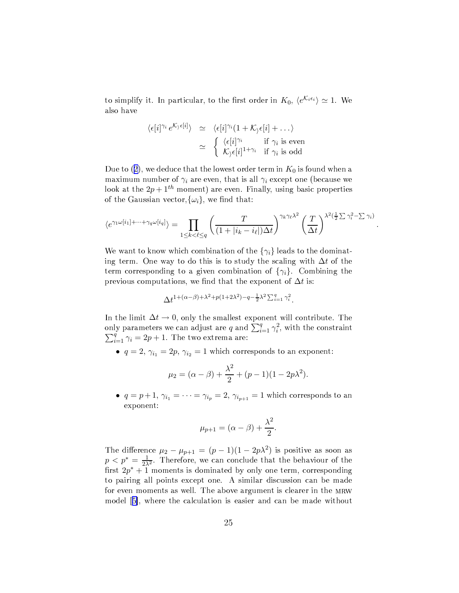to simplify it. In particular, to the first order in  $K_0$ ,  $\langle e^{K_i \epsilon_i} \rangle \simeq 1$ . We also have

$$
\langle \epsilon[i]^{\gamma_i} e^{\mathcal{K}_\rangle \epsilon[i]} \rangle \simeq \langle \epsilon[i]^{\gamma_i} (1 + \mathcal{K}_\rangle \epsilon[i] + \dots \rangle
$$
  

$$
\simeq \begin{cases} \langle \epsilon[i]^{\gamma_i} & \text{if } \gamma_i \text{ is even} \\ \mathcal{K}_\rangle \epsilon[i]^{1 + \gamma_i} & \text{if } \gamma_i \text{ is odd} \end{cases}
$$

Due to (2), we deduce that the lowest order term in  $K_0$  is found when a maximum number of  $\gamma_i$  are even, that is all  $\gamma_i$  except one (because we look at the  $2p+1^{th}$  moment) are even. Finally, using basic properties of the Gaussian vector,  $\{\omega_i\}$ , we find that:

$$
\langle e^{\gamma_1 \omega[i_1] + \dots + \gamma_q \omega[i_q]} \rangle = \prod_{1 \le k < \ell \le q} \left( \frac{T}{(1 + |i_k - i_\ell|) \Delta t} \right)^{\gamma_k \gamma_\ell \lambda^2} \left( \frac{T}{\Delta t} \right)^{\lambda^2 \left( \frac{1}{2} \sum \gamma_i^2 - \sum \gamma_i \right)}
$$

We want to know which combination of the  $\{\gamma_i\}$  leads to the dominating term. One way to do this is to study the scaling with  $\Delta t$  of the term corresponding to a given combination of  $\{\gamma_i\}$ . Combining the previous computations, we find that the exponent of  $\Delta t$  is:

$$
\Delta t^{1+(\alpha-\beta)+\lambda^2+p(1+2\lambda^2)-q-\frac{1}{2}\lambda^2\sum_{i=1}^q\gamma_i^2}.
$$

In the limit  $\Delta t \rightarrow 0$ , only the smallest exponent will contribute. The only parameters we can adjust are q and  $\sum_{i=1}^{q} \gamma_i^2$ , with the constraint  $\sum_{i=1}^{q} \gamma_i = 2p + 1$ . The two extrema are:

•  $q = 2$ ,  $\gamma_{i_1} = 2p$ ,  $\gamma_{i_2} = 1$  which corresponds to an exponent:

$$
\mu_2 = (\alpha - \beta) + \frac{\lambda^2}{2} + (p - 1)(1 - 2p\lambda^2).
$$

•  $q = p+1$ ,  $\gamma_{i_1} = \cdots = \gamma_{i_p} = 2$ ,  $\gamma_{i_{p+1}} = 1$  which corresponds to an exponent:

$$
\mu_{p+1} = (\alpha - \beta) + \frac{\lambda^2}{2}.
$$

The difference  $\mu_2 - \mu_{p+1} = (p-1)(1-2p\lambda^2)$  is positive as soon as  $p < p^* = \frac{1}{2\lambda^2}$ . Therefore, we can conclude that the behaviour of the first  $2p^* + 1$  moments is dominated by only one term, corresponding to pairing all points except one. A similar discussion can be made for even moments as well. The above argument is clearer in the MRW model [5], where the calculation is easier and can be made without